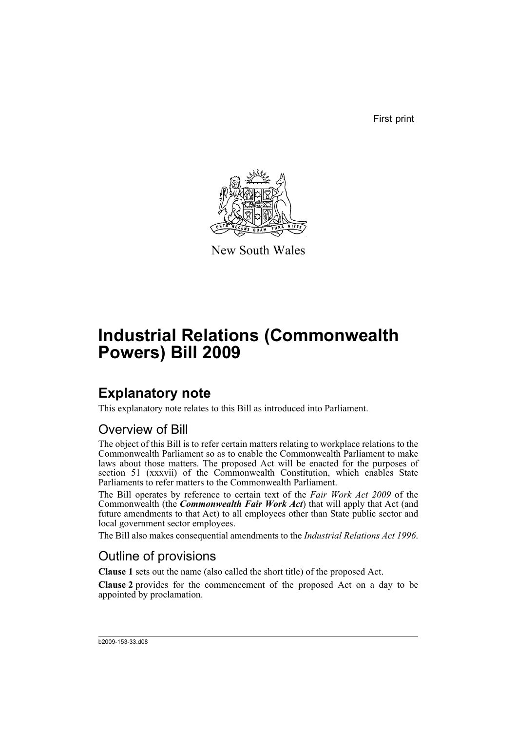First print



New South Wales

# **Industrial Relations (Commonwealth Powers) Bill 2009**

# **Explanatory note**

This explanatory note relates to this Bill as introduced into Parliament.

# Overview of Bill

The object of this Bill is to refer certain matters relating to workplace relations to the Commonwealth Parliament so as to enable the Commonwealth Parliament to make laws about those matters. The proposed Act will be enacted for the purposes of section 51 (xxxvii) of the Commonwealth Constitution, which enables State Parliaments to refer matters to the Commonwealth Parliament.

The Bill operates by reference to certain text of the *Fair Work Act 2009* of the Commonwealth (the *Commonwealth Fair Work Act*) that will apply that Act (and future amendments to that Act) to all employees other than State public sector and local government sector employees.

The Bill also makes consequential amendments to the *Industrial Relations Act 1996*.

# Outline of provisions

**Clause 1** sets out the name (also called the short title) of the proposed Act.

**Clause 2** provides for the commencement of the proposed Act on a day to be appointed by proclamation.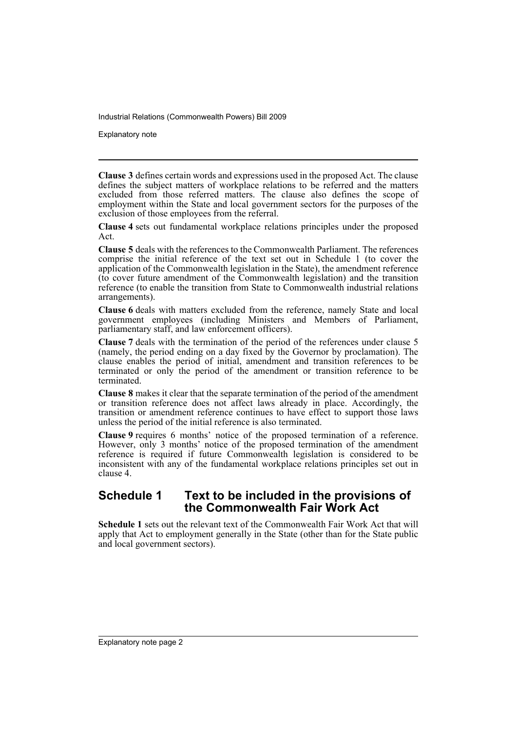Explanatory note

**Clause 3** defines certain words and expressions used in the proposed Act. The clause defines the subject matters of workplace relations to be referred and the matters excluded from those referred matters. The clause also defines the scope of employment within the State and local government sectors for the purposes of the exclusion of those employees from the referral.

**Clause 4** sets out fundamental workplace relations principles under the proposed Act.

**Clause 5** deals with the references to the Commonwealth Parliament. The references comprise the initial reference of the text set out in Schedule 1 (to cover the application of the Commonwealth legislation in the State), the amendment reference (to cover future amendment of the Commonwealth legislation) and the transition reference (to enable the transition from State to Commonwealth industrial relations arrangements).

**Clause 6** deals with matters excluded from the reference, namely State and local government employees (including Ministers and Members of Parliament, parliamentary staff, and law enforcement officers).

**Clause 7** deals with the termination of the period of the references under clause 5 (namely, the period ending on a day fixed by the Governor by proclamation). The clause enables the period of initial, amendment and transition references to be terminated or only the period of the amendment or transition reference to be terminated.

**Clause 8** makes it clear that the separate termination of the period of the amendment or transition reference does not affect laws already in place. Accordingly, the transition or amendment reference continues to have effect to support those laws unless the period of the initial reference is also terminated.

**Clause 9** requires 6 months' notice of the proposed termination of a reference. However, only 3 months' notice of the proposed termination of the amendment reference is required if future Commonwealth legislation is considered to be inconsistent with any of the fundamental workplace relations principles set out in clause 4.

# **Schedule 1 Text to be included in the provisions of the Commonwealth Fair Work Act**

**Schedule 1** sets out the relevant text of the Commonwealth Fair Work Act that will apply that Act to employment generally in the State (other than for the State public and local government sectors).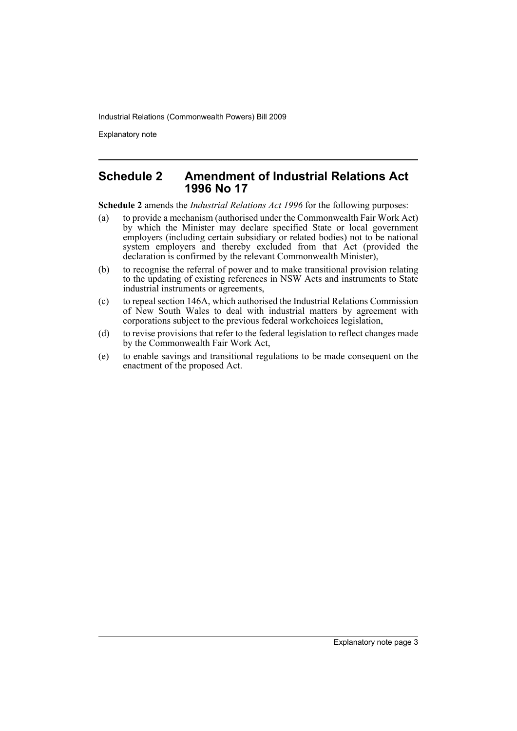Explanatory note

## **Schedule 2 Amendment of Industrial Relations Act 1996 No 17**

**Schedule 2** amends the *Industrial Relations Act 1996* for the following purposes:

- (a) to provide a mechanism (authorised under the Commonwealth Fair Work Act) by which the Minister may declare specified State or local government employers (including certain subsidiary or related bodies) not to be national system employers and thereby excluded from that Act (provided the declaration is confirmed by the relevant Commonwealth Minister),
- (b) to recognise the referral of power and to make transitional provision relating to the updating of existing references in NSW Acts and instruments to State industrial instruments or agreements,
- (c) to repeal section 146A, which authorised the Industrial Relations Commission of New South Wales to deal with industrial matters by agreement with corporations subject to the previous federal workchoices legislation,
- (d) to revise provisions that refer to the federal legislation to reflect changes made by the Commonwealth Fair Work Act,
- (e) to enable savings and transitional regulations to be made consequent on the enactment of the proposed Act.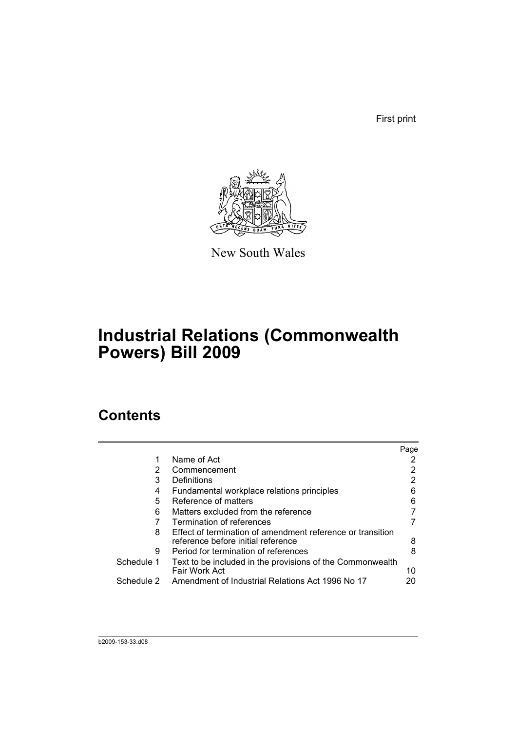First print



New South Wales

# **Industrial Relations (Commonwealth Powers) Bill 2009**

# **Contents**

|            |                                                                                                  | Page |
|------------|--------------------------------------------------------------------------------------------------|------|
|            | Name of Act                                                                                      |      |
| 2          | Commencement                                                                                     |      |
| 3          | Definitions                                                                                      | 2    |
| 4          | Fundamental workplace relations principles                                                       | 6    |
| 5          | Reference of matters                                                                             | 6    |
| 6          | Matters excluded from the reference                                                              |      |
|            | Termination of references                                                                        |      |
| 8          | Effect of termination of amendment reference or transition<br>reference before initial reference | 8    |
| 9          | Period for termination of references                                                             | 8    |
| Schedule 1 | Text to be included in the provisions of the Commonwealth<br>Fair Work Act                       | 10   |
| Schedule 2 | Amendment of Industrial Relations Act 1996 No 17                                                 | 20   |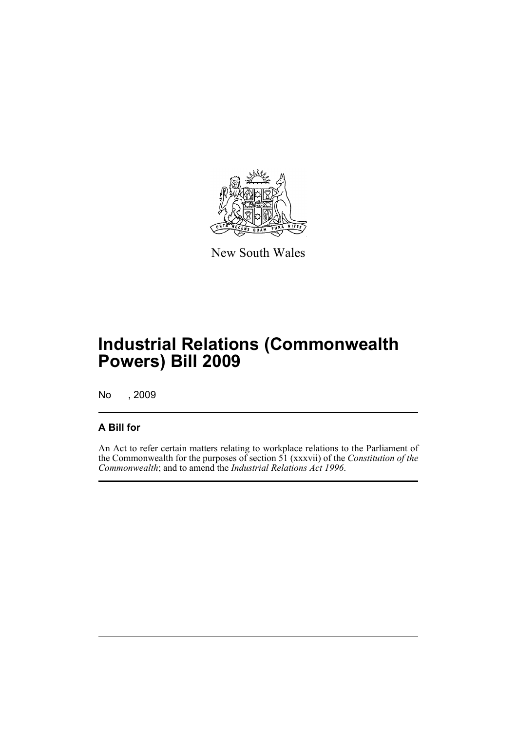

New South Wales

# **Industrial Relations (Commonwealth Powers) Bill 2009**

No , 2009

# **A Bill for**

An Act to refer certain matters relating to workplace relations to the Parliament of the Commonwealth for the purposes of section 51 (xxxvii) of the *Constitution of the Commonwealth*; and to amend the *Industrial Relations Act 1996*.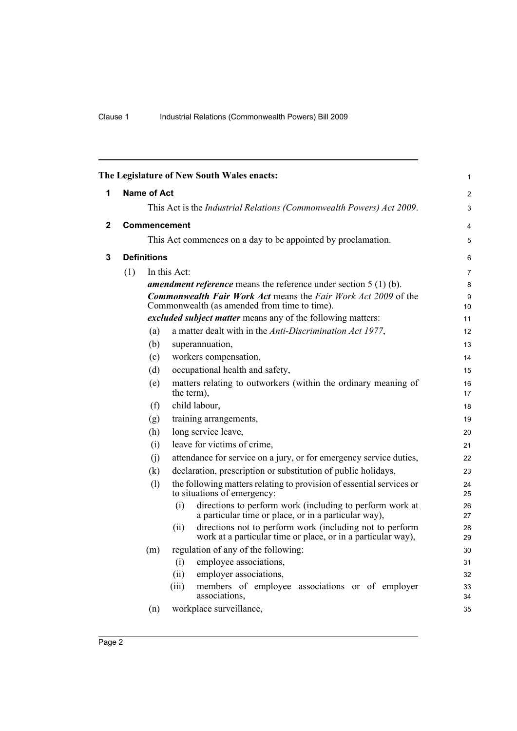<span id="page-7-2"></span><span id="page-7-1"></span><span id="page-7-0"></span>

|              |                                                                                     |                                                                      | The Legislature of New South Wales enacts:                                                                                       | 1        |  |  |  |  |  |  |
|--------------|-------------------------------------------------------------------------------------|----------------------------------------------------------------------|----------------------------------------------------------------------------------------------------------------------------------|----------|--|--|--|--|--|--|
| 1            |                                                                                     | <b>Name of Act</b>                                                   |                                                                                                                                  |          |  |  |  |  |  |  |
|              |                                                                                     | This Act is the Industrial Relations (Commonwealth Powers) Act 2009. |                                                                                                                                  |          |  |  |  |  |  |  |
| $\mathbf{2}$ |                                                                                     |                                                                      | <b>Commencement</b>                                                                                                              |          |  |  |  |  |  |  |
|              |                                                                                     | This Act commences on a day to be appointed by proclamation.         |                                                                                                                                  |          |  |  |  |  |  |  |
| 3            |                                                                                     | <b>Definitions</b>                                                   |                                                                                                                                  |          |  |  |  |  |  |  |
|              | (1)<br>In this Act:                                                                 |                                                                      |                                                                                                                                  |          |  |  |  |  |  |  |
|              | <b>amendment reference</b> means the reference under section $5(1)(b)$ .            |                                                                      |                                                                                                                                  |          |  |  |  |  |  |  |
|              |                                                                                     |                                                                      | <b>Commonwealth Fair Work Act means the Fair Work Act 2009 of the</b><br>Commonwealth (as amended from time to time).            | 9<br>10  |  |  |  |  |  |  |
|              |                                                                                     |                                                                      | excluded subject matter means any of the following matters:                                                                      | 11       |  |  |  |  |  |  |
|              | (a)<br>a matter dealt with in the Anti-Discrimination Act 1977,                     |                                                                      |                                                                                                                                  |          |  |  |  |  |  |  |
|              | (b)<br>superannuation,                                                              |                                                                      |                                                                                                                                  |          |  |  |  |  |  |  |
|              | workers compensation,<br>(c)                                                        |                                                                      |                                                                                                                                  |          |  |  |  |  |  |  |
|              | occupational health and safety,<br>(d)                                              |                                                                      |                                                                                                                                  |          |  |  |  |  |  |  |
|              | matters relating to outworkers (within the ordinary meaning of<br>(e)<br>the term), |                                                                      |                                                                                                                                  |          |  |  |  |  |  |  |
|              | child labour,<br>(f)<br>training arrangements,<br>(g)                               |                                                                      |                                                                                                                                  |          |  |  |  |  |  |  |
|              |                                                                                     |                                                                      |                                                                                                                                  |          |  |  |  |  |  |  |
|              |                                                                                     | (h)                                                                  | long service leave,                                                                                                              | 20       |  |  |  |  |  |  |
|              |                                                                                     | (i)                                                                  | leave for victims of crime,                                                                                                      | 21       |  |  |  |  |  |  |
|              |                                                                                     | (i)                                                                  | attendance for service on a jury, or for emergency service duties,                                                               | 22       |  |  |  |  |  |  |
|              |                                                                                     | (k)                                                                  | declaration, prescription or substitution of public holidays,                                                                    | 23       |  |  |  |  |  |  |
|              |                                                                                     | (1)                                                                  | the following matters relating to provision of essential services or<br>to situations of emergency:                              | 24<br>25 |  |  |  |  |  |  |
|              |                                                                                     |                                                                      | directions to perform work (including to perform work at<br>(i)<br>a particular time or place, or in a particular way),          | 26<br>27 |  |  |  |  |  |  |
|              |                                                                                     |                                                                      | directions not to perform work (including not to perform<br>(ii)<br>work at a particular time or place, or in a particular way), | 28<br>29 |  |  |  |  |  |  |
|              |                                                                                     | (m)                                                                  | regulation of any of the following:                                                                                              | 30       |  |  |  |  |  |  |
|              | employee associations,<br>(i)                                                       |                                                                      |                                                                                                                                  |          |  |  |  |  |  |  |
|              |                                                                                     |                                                                      | (ii)<br>employer associations,                                                                                                   | 32       |  |  |  |  |  |  |
|              |                                                                                     |                                                                      | members of employee associations or of employer<br>(iii)<br>associations,                                                        | 33<br>34 |  |  |  |  |  |  |
|              |                                                                                     | (n)                                                                  | workplace surveillance,                                                                                                          | 35       |  |  |  |  |  |  |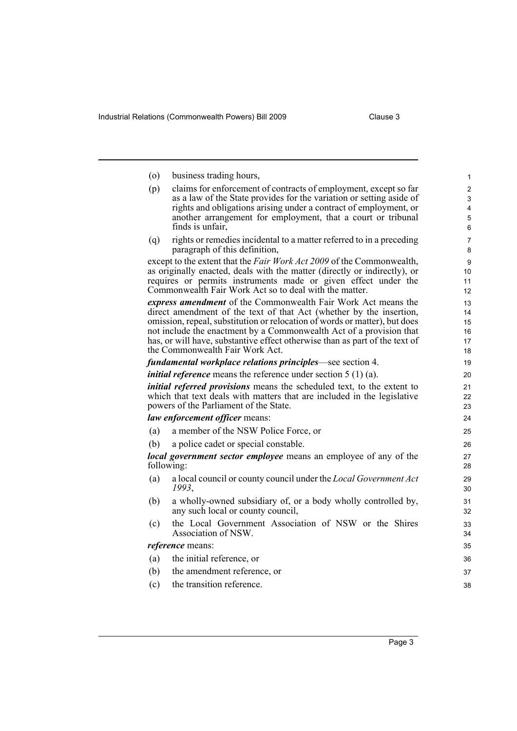Industrial Relations (Commonwealth Powers) Bill 2009 Clause 3

| $\circ$ | business trading hours,                                                                                                                            | 1              |
|---------|----------------------------------------------------------------------------------------------------------------------------------------------------|----------------|
| (p)     | claims for enforcement of contracts of employment, except so far                                                                                   | $\overline{2}$ |
|         | as a law of the State provides for the variation or setting aside of                                                                               | 3              |
|         | rights and obligations arising under a contract of employment, or<br>another arrangement for employment, that a court or tribunal                  | 4<br>5         |
|         | finds is unfair,                                                                                                                                   | 6              |
| (q)     | rights or remedies incidental to a matter referred to in a preceding                                                                               | $\overline{7}$ |
|         | paragraph of this definition,                                                                                                                      | 8              |
|         | except to the extent that the Fair Work Act 2009 of the Commonwealth,                                                                              | 9              |
|         | as originally enacted, deals with the matter (directly or indirectly), or<br>requires or permits instruments made or given effect under the        | 10<br>11       |
|         | Commonwealth Fair Work Act so to deal with the matter.                                                                                             | 12             |
|         | express amendment of the Commonwealth Fair Work Act means the                                                                                      | 13             |
|         | direct amendment of the text of that Act (whether by the insertion,                                                                                | 14             |
|         | omission, repeal, substitution or relocation of words or matter), but does                                                                         | 15             |
|         | not include the enactment by a Commonwealth Act of a provision that<br>has, or will have, substantive effect otherwise than as part of the text of | 16<br>17       |
|         | the Commonwealth Fair Work Act.                                                                                                                    | 18             |
|         | <i>fundamental workplace relations principles</i> —see section 4.                                                                                  | 19             |
|         | <i>initial reference</i> means the reference under section $5(1)(a)$ .                                                                             | 20             |
|         | initial referred provisions means the scheduled text, to the extent to                                                                             | 21             |
|         | which that text deals with matters that are included in the legislative                                                                            | 22             |
|         | powers of the Parliament of the State.                                                                                                             | 23             |
|         | law enforcement officer means:                                                                                                                     | 24             |
| (a)     | a member of the NSW Police Force, or                                                                                                               | 25             |
| (b)     | a police cadet or special constable.                                                                                                               | 26             |
|         | <b>local government sector employee</b> means an employee of any of the<br>following:                                                              | 27<br>28       |
| (a)     | a local council or county council under the <i>Local Government Act</i><br>1993.                                                                   | 29<br>30       |
| (b)     | a wholly-owned subsidiary of, or a body wholly controlled by,<br>any such local or county council,                                                 | 31<br>32       |
| (c)     | the Local Government Association of NSW or the Shires<br>Association of NSW.                                                                       | 33<br>34       |
|         | <i>reference</i> means:                                                                                                                            | 35             |
| (a)     | the initial reference, or                                                                                                                          | 36             |
| (b)     | the amendment reference, or                                                                                                                        | 37             |
| (c)     | the transition reference.                                                                                                                          | 38             |
|         |                                                                                                                                                    |                |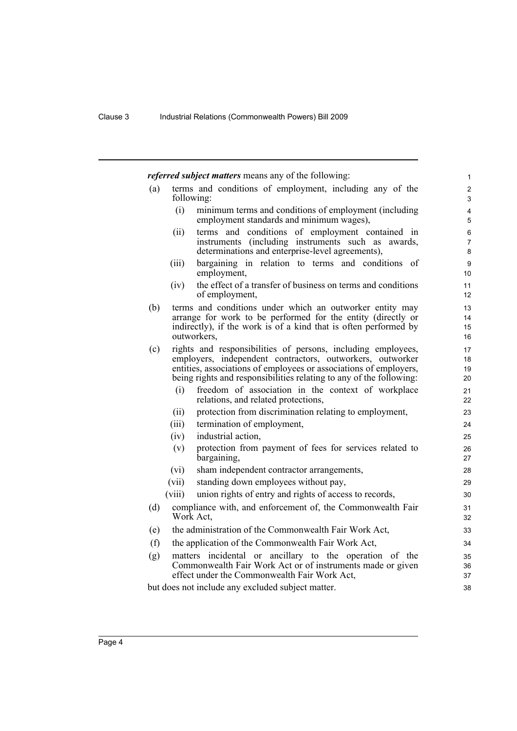*referred subject matters* means any of the following:

- (a) terms and conditions of employment, including any of the following:
	- (i) minimum terms and conditions of employment (including employment standards and minimum wages),

- (ii) terms and conditions of employment contained in instruments (including instruments such as awards, determinations and enterprise-level agreements),
- (iii) bargaining in relation to terms and conditions of employment,
- (iv) the effect of a transfer of business on terms and conditions of employment,
- (b) terms and conditions under which an outworker entity may arrange for work to be performed for the entity (directly or indirectly), if the work is of a kind that is often performed by outworkers,
- (c) rights and responsibilities of persons, including employees, employers, independent contractors, outworkers, outworker entities, associations of employees or associations of employers, being rights and responsibilities relating to any of the following:
	- (i) freedom of association in the context of workplace relations, and related protections,
	- (ii) protection from discrimination relating to employment,
	- (iii) termination of employment,
	- (iv) industrial action,
	- (v) protection from payment of fees for services related to bargaining,
	- (vi) sham independent contractor arrangements,
	- (vii) standing down employees without pay,
	- (viii) union rights of entry and rights of access to records,
- (d) compliance with, and enforcement of, the Commonwealth Fair Work Act,
- (e) the administration of the Commonwealth Fair Work Act,
- (f) the application of the Commonwealth Fair Work Act,
- (g) matters incidental or ancillary to the operation of the Commonwealth Fair Work Act or of instruments made or given effect under the Commonwealth Fair Work Act,

but does not include any excluded subject matter.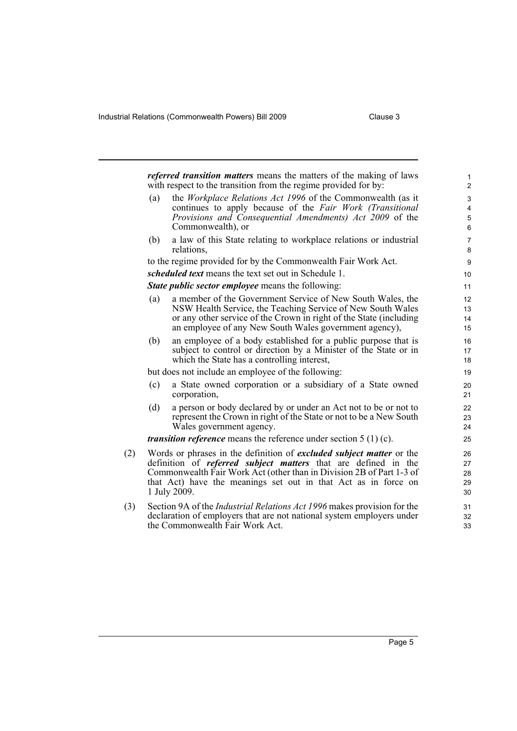Industrial Relations (Commonwealth Powers) Bill 2009 Clause 3

|     |                                                                                                                                                                                                                                                                                                                | <i>referred transition matters</i> means the matters of the making of laws<br>with respect to the transition from the regime provided for by:                                                                                                             | $\mathbf{1}$<br>$\overline{2}$ |  |  |
|-----|----------------------------------------------------------------------------------------------------------------------------------------------------------------------------------------------------------------------------------------------------------------------------------------------------------------|-----------------------------------------------------------------------------------------------------------------------------------------------------------------------------------------------------------------------------------------------------------|--------------------------------|--|--|
|     | (a)                                                                                                                                                                                                                                                                                                            | the <i>Workplace Relations Act 1996</i> of the Commonwealth (as it<br>continues to apply because of the Fair Work (Transitional<br>Provisions and Consequential Amendments) Act 2009 of the<br>Commonwealth), or                                          | 3<br>$\overline{4}$<br>5<br>6  |  |  |
|     | (b)                                                                                                                                                                                                                                                                                                            | a law of this State relating to workplace relations or industrial<br>relations,                                                                                                                                                                           | $\overline{7}$<br>8            |  |  |
|     |                                                                                                                                                                                                                                                                                                                | to the regime provided for by the Commonwealth Fair Work Act.                                                                                                                                                                                             | $\boldsymbol{9}$               |  |  |
|     |                                                                                                                                                                                                                                                                                                                | scheduled text means the text set out in Schedule 1.                                                                                                                                                                                                      | 10                             |  |  |
|     |                                                                                                                                                                                                                                                                                                                | <b>State public sector employee means the following:</b>                                                                                                                                                                                                  | 11                             |  |  |
|     | (a)                                                                                                                                                                                                                                                                                                            | a member of the Government Service of New South Wales, the<br>NSW Health Service, the Teaching Service of New South Wales<br>or any other service of the Crown in right of the State (including<br>an employee of any New South Wales government agency), | 12<br>13<br>14<br>15           |  |  |
|     | (b)                                                                                                                                                                                                                                                                                                            | an employee of a body established for a public purpose that is<br>subject to control or direction by a Minister of the State or in<br>which the State has a controlling interest,                                                                         | 16<br>17<br>18                 |  |  |
|     |                                                                                                                                                                                                                                                                                                                | but does not include an employee of the following:                                                                                                                                                                                                        | 19                             |  |  |
|     | (c)                                                                                                                                                                                                                                                                                                            | a State owned corporation or a subsidiary of a State owned<br>corporation,                                                                                                                                                                                | 20<br>21                       |  |  |
|     | (d)                                                                                                                                                                                                                                                                                                            | a person or body declared by or under an Act not to be or not to<br>represent the Crown in right of the State or not to be a New South<br>Wales government agency.                                                                                        | 22<br>23<br>24                 |  |  |
|     |                                                                                                                                                                                                                                                                                                                | <i>transition reference</i> means the reference under section 5 (1) (c).                                                                                                                                                                                  | 25                             |  |  |
| (2) | Words or phrases in the definition of <i>excluded subject matter</i> or the<br>definition of <i>referred subject matters</i> that are defined in the<br>Commonwealth Fair Work Act (other than in Division 2B of Part 1-3 of<br>that Act) have the meanings set out in that Act as in force on<br>1 July 2009. |                                                                                                                                                                                                                                                           |                                |  |  |
| (3) |                                                                                                                                                                                                                                                                                                                | Section 9A of the <i>Industrial Relations Act 1996</i> makes provision for the<br>declaration of employers that are not national system employers under<br>the Commonwealth Fair Work Act.                                                                | 31<br>32<br>33                 |  |  |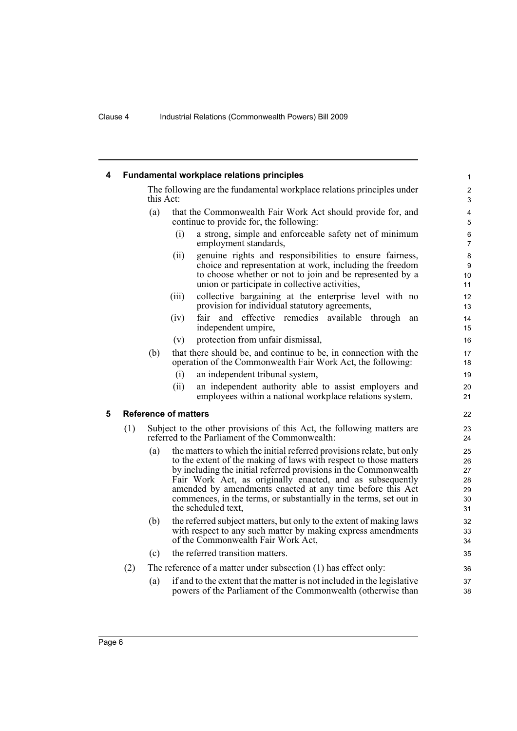<span id="page-11-1"></span><span id="page-11-0"></span>

| 4 | <b>Fundamental workplace relations principles</b> |                                                                                     |                                                                                                                                                                                                                                                                                                                                                                                                                                       |                                        |  |  |  |
|---|---------------------------------------------------|-------------------------------------------------------------------------------------|---------------------------------------------------------------------------------------------------------------------------------------------------------------------------------------------------------------------------------------------------------------------------------------------------------------------------------------------------------------------------------------------------------------------------------------|----------------------------------------|--|--|--|
|   |                                                   | The following are the fundamental workplace relations principles under<br>this Act: |                                                                                                                                                                                                                                                                                                                                                                                                                                       |                                        |  |  |  |
|   |                                                   | (a)                                                                                 | that the Commonwealth Fair Work Act should provide for, and<br>continue to provide for, the following:                                                                                                                                                                                                                                                                                                                                | 4<br>5                                 |  |  |  |
|   |                                                   |                                                                                     | (i)<br>a strong, simple and enforceable safety net of minimum<br>employment standards,                                                                                                                                                                                                                                                                                                                                                | 6<br>$\overline{7}$                    |  |  |  |
|   |                                                   |                                                                                     | (ii)<br>genuine rights and responsibilities to ensure fairness,<br>choice and representation at work, including the freedom<br>to choose whether or not to join and be represented by a<br>union or participate in collective activities,                                                                                                                                                                                             | 8<br>9<br>10<br>11                     |  |  |  |
|   |                                                   |                                                                                     | collective bargaining at the enterprise level with no<br>(iii)<br>provision for individual statutory agreements,                                                                                                                                                                                                                                                                                                                      | 12<br>13                               |  |  |  |
|   |                                                   |                                                                                     | fair and effective remedies available through<br>(iv)<br>an<br>independent umpire,                                                                                                                                                                                                                                                                                                                                                    | 14<br>15                               |  |  |  |
|   |                                                   |                                                                                     | protection from unfair dismissal,<br>(v)                                                                                                                                                                                                                                                                                                                                                                                              | 16                                     |  |  |  |
|   |                                                   | (b)                                                                                 | that there should be, and continue to be, in connection with the<br>operation of the Commonwealth Fair Work Act, the following:                                                                                                                                                                                                                                                                                                       | 17<br>18                               |  |  |  |
|   |                                                   |                                                                                     | (i)<br>an independent tribunal system,                                                                                                                                                                                                                                                                                                                                                                                                | 19                                     |  |  |  |
|   |                                                   |                                                                                     | (ii)<br>an independent authority able to assist employers and<br>employees within a national workplace relations system.                                                                                                                                                                                                                                                                                                              | 20<br>21                               |  |  |  |
| 5 |                                                   |                                                                                     | <b>Reference of matters</b>                                                                                                                                                                                                                                                                                                                                                                                                           | 22                                     |  |  |  |
|   | (1)                                               |                                                                                     | Subject to the other provisions of this Act, the following matters are<br>referred to the Parliament of the Commonwealth:                                                                                                                                                                                                                                                                                                             | 23<br>24                               |  |  |  |
|   |                                                   | (a)                                                                                 | the matters to which the initial referred provisions relate, but only<br>to the extent of the making of laws with respect to those matters<br>by including the initial referred provisions in the Commonwealth<br>Fair Work Act, as originally enacted, and as subsequently<br>amended by amendments enacted at any time before this Act<br>commences, in the terms, or substantially in the terms, set out in<br>the scheduled text, | 25<br>26<br>27<br>28<br>29<br>30<br>31 |  |  |  |
|   |                                                   | (b)                                                                                 | the referred subject matters, but only to the extent of making laws<br>with respect to any such matter by making express amendments<br>of the Commonwealth Fair Work Act,                                                                                                                                                                                                                                                             | 32<br>33<br>34                         |  |  |  |
|   |                                                   | (c)                                                                                 | the referred transition matters.                                                                                                                                                                                                                                                                                                                                                                                                      | 35                                     |  |  |  |
|   | (2)                                               |                                                                                     | The reference of a matter under subsection (1) has effect only:                                                                                                                                                                                                                                                                                                                                                                       | 36                                     |  |  |  |
|   |                                                   | (a)                                                                                 | if and to the extent that the matter is not included in the legislative<br>powers of the Parliament of the Commonwealth (otherwise than                                                                                                                                                                                                                                                                                               | 37<br>38                               |  |  |  |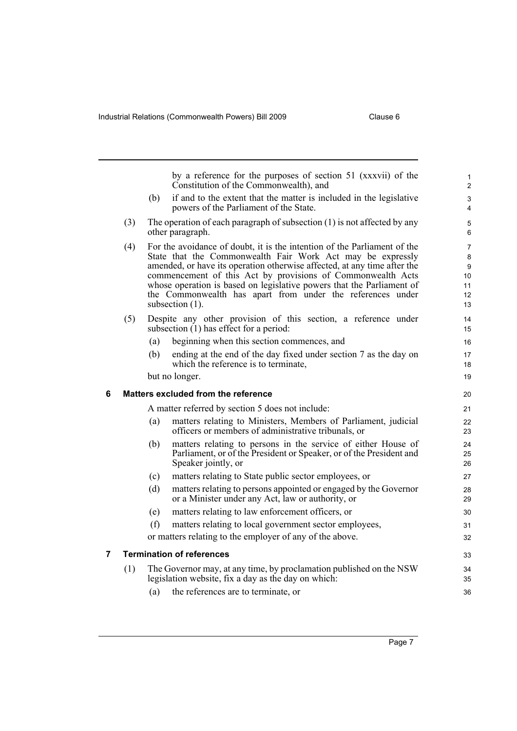<span id="page-12-1"></span><span id="page-12-0"></span>

|   |     |     | by a reference for the purposes of section 51 (xxxvii) of the<br>Constitution of the Commonwealth), and                                                                                                                                                                                                                                                                                                                                        | $\mathbf{1}$<br>$\overline{c}$      |
|---|-----|-----|------------------------------------------------------------------------------------------------------------------------------------------------------------------------------------------------------------------------------------------------------------------------------------------------------------------------------------------------------------------------------------------------------------------------------------------------|-------------------------------------|
|   |     | (b) | if and to the extent that the matter is included in the legislative<br>powers of the Parliament of the State.                                                                                                                                                                                                                                                                                                                                  | 3<br>4                              |
|   | (3) |     | The operation of each paragraph of subsection $(1)$ is not affected by any<br>other paragraph.                                                                                                                                                                                                                                                                                                                                                 | $\mathbf 5$<br>6                    |
|   | (4) |     | For the avoidance of doubt, it is the intention of the Parliament of the<br>State that the Commonwealth Fair Work Act may be expressly<br>amended, or have its operation otherwise affected, at any time after the<br>commencement of this Act by provisions of Commonwealth Acts<br>whose operation is based on legislative powers that the Parliament of<br>the Commonwealth has apart from under the references under<br>subsection $(1)$ . | 7<br>8<br>9<br>10<br>11<br>12<br>13 |
|   | (5) |     | Despite any other provision of this section, a reference under<br>subsection $(1)$ has effect for a period:                                                                                                                                                                                                                                                                                                                                    | 14<br>15                            |
|   |     | (a) | beginning when this section commences, and                                                                                                                                                                                                                                                                                                                                                                                                     | 16                                  |
|   |     | (b) | ending at the end of the day fixed under section 7 as the day on<br>which the reference is to terminate.                                                                                                                                                                                                                                                                                                                                       | 17<br>18                            |
|   |     |     | but no longer.                                                                                                                                                                                                                                                                                                                                                                                                                                 | 19                                  |
| 6 |     |     | Matters excluded from the reference                                                                                                                                                                                                                                                                                                                                                                                                            | 20                                  |
|   |     |     | A matter referred by section 5 does not include:                                                                                                                                                                                                                                                                                                                                                                                               | 21                                  |
|   |     | (a) | matters relating to Ministers, Members of Parliament, judicial<br>officers or members of administrative tribunals, or                                                                                                                                                                                                                                                                                                                          | 22<br>23                            |
|   |     | (b) | matters relating to persons in the service of either House of<br>Parliament, or of the President or Speaker, or of the President and<br>Speaker jointly, or                                                                                                                                                                                                                                                                                    | 24<br>25<br>26                      |
|   |     | (c) | matters relating to State public sector employees, or                                                                                                                                                                                                                                                                                                                                                                                          | 27                                  |
|   |     | (d) | matters relating to persons appointed or engaged by the Governor<br>or a Minister under any Act, law or authority, or                                                                                                                                                                                                                                                                                                                          | 28<br>29                            |
|   |     | (e) | matters relating to law enforcement officers, or                                                                                                                                                                                                                                                                                                                                                                                               | 30                                  |
|   |     | (f) | matters relating to local government sector employees,                                                                                                                                                                                                                                                                                                                                                                                         | 31                                  |
|   |     |     | or matters relating to the employer of any of the above.                                                                                                                                                                                                                                                                                                                                                                                       | 32                                  |
| 7 |     |     | <b>Termination of references</b>                                                                                                                                                                                                                                                                                                                                                                                                               | 33                                  |
|   | (1) |     | The Governor may, at any time, by proclamation published on the NSW<br>legislation website, fix a day as the day on which:                                                                                                                                                                                                                                                                                                                     | 34<br>35                            |
|   |     | (a) | the references are to terminate, or                                                                                                                                                                                                                                                                                                                                                                                                            | 36                                  |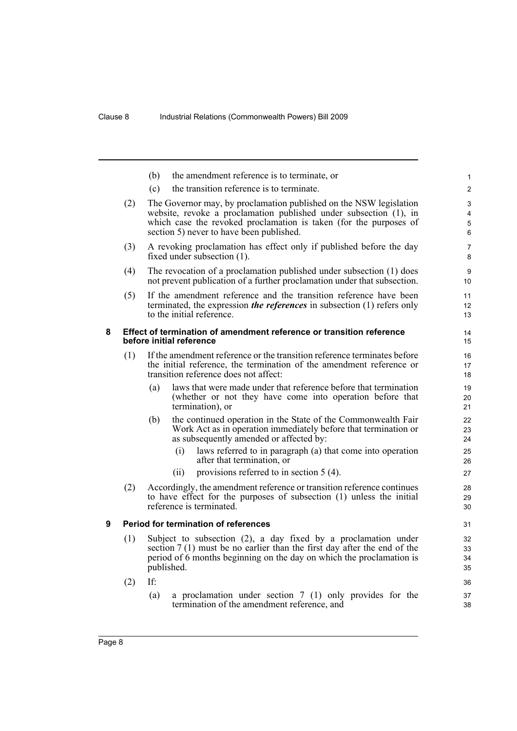<span id="page-13-1"></span><span id="page-13-0"></span>

|   |     | (b) | the amendment reference is to terminate, or                                                                                                      | $\mathbf{1}$   |
|---|-----|-----|--------------------------------------------------------------------------------------------------------------------------------------------------|----------------|
|   |     | (c) | the transition reference is to terminate.                                                                                                        | 2              |
|   | (2) |     | The Governor may, by proclamation published on the NSW legislation                                                                               | 3              |
|   |     |     | website, revoke a proclamation published under subsection (1), in                                                                                | $\overline{4}$ |
|   |     |     | which case the revoked proclamation is taken (for the purposes of                                                                                | 5              |
|   |     |     | section 5) never to have been published.                                                                                                         | 6              |
|   | (3) |     | A revoking proclamation has effect only if published before the day<br>fixed under subsection $(1)$ .                                            | 7<br>8         |
|   | (4) |     | The revocation of a proclamation published under subsection (1) does<br>not prevent publication of a further proclamation under that subsection. | 9<br>10        |
|   | (5) |     | If the amendment reference and the transition reference have been                                                                                | 11             |
|   |     |     | terminated, the expression <i>the references</i> in subsection $(1)$ refers only                                                                 | 12             |
|   |     |     | to the initial reference.                                                                                                                        | 13             |
| 8 |     |     | Effect of termination of amendment reference or transition reference                                                                             | 14             |
|   |     |     | before initial reference                                                                                                                         | 15             |
|   | (1) |     | If the amendment reference or the transition reference terminates before                                                                         | 16             |
|   |     |     | the initial reference, the termination of the amendment reference or                                                                             | 17             |
|   |     |     | transition reference does not affect:                                                                                                            | 18             |
|   |     | (a) | laws that were made under that reference before that termination                                                                                 | 19             |
|   |     |     | (whether or not they have come into operation before that<br>termination), or                                                                    | 20<br>21       |
|   |     |     |                                                                                                                                                  |                |
|   |     | (b) | the continued operation in the State of the Commonwealth Fair<br>Work Act as in operation immediately before that termination or                 | 22<br>23       |
|   |     |     | as subsequently amended or affected by:                                                                                                          | 24             |
|   |     |     | laws referred to in paragraph (a) that come into operation<br>(i)                                                                                | 25             |
|   |     |     | after that termination, or                                                                                                                       | 26             |
|   |     |     | provisions referred to in section $5(4)$ .<br>(ii)                                                                                               | 27             |
|   | (2) |     | Accordingly, the amendment reference or transition reference continues                                                                           | 28             |
|   |     |     | to have effect for the purposes of subsection (1) unless the initial                                                                             | 29             |
|   |     |     | reference is terminated.                                                                                                                         | 30             |
| 9 |     |     | <b>Period for termination of references</b>                                                                                                      | 31             |
|   | (1) |     | Subject to subsection (2), a day fixed by a proclamation under                                                                                   | 32             |
|   |     |     | section $7(1)$ must be no earlier than the first day after the end of the                                                                        | 33             |
|   |     |     | period of 6 months beginning on the day on which the proclamation is<br>published.                                                               | 34<br>35       |
|   |     |     |                                                                                                                                                  |                |
|   | (2) | If: |                                                                                                                                                  | 36             |
|   |     | (a) | a proclamation under section 7 (1) only provides for the<br>termination of the amendment reference, and                                          | 37             |
|   |     |     |                                                                                                                                                  | 38             |
|   |     |     |                                                                                                                                                  |                |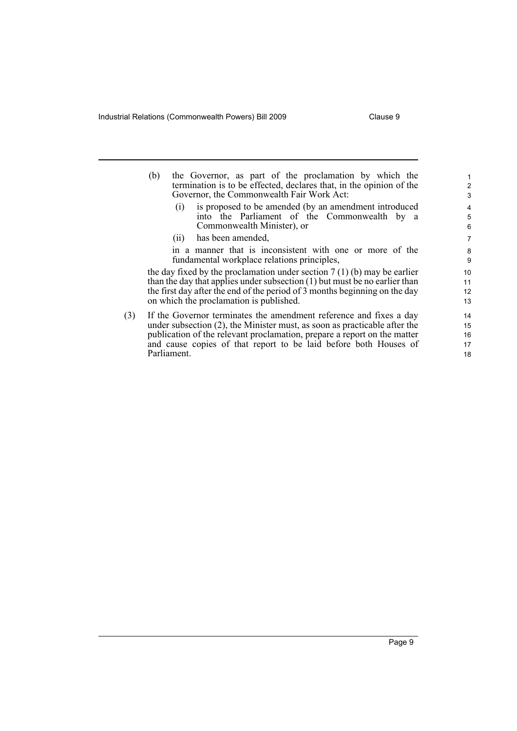Industrial Relations (Commonwealth Powers) Bill 2009 Clause 9

Parliament.

|     | the Governor, as part of the proclamation by which the<br>(b)                | 1  |  |  |
|-----|------------------------------------------------------------------------------|----|--|--|
|     | termination is to be effected, declares that, in the opinion of the          | 2  |  |  |
|     | Governor, the Commonwealth Fair Work Act:                                    | 3  |  |  |
|     | is proposed to be amended (by an amendment introduced<br>(i)                 | 4  |  |  |
|     | into the Parliament of the Commonwealth by a                                 | 5  |  |  |
|     | Commonwealth Minister), or                                                   | 6  |  |  |
|     | has been amended,<br>(11)                                                    | 7  |  |  |
|     | in a manner that is inconsistent with one or more of the                     | 8  |  |  |
|     | fundamental workplace relations principles,                                  | 9  |  |  |
|     | the day fixed by the proclamation under section $7(1)(b)$ may be earlier     | 10 |  |  |
|     | than the day that applies under subsection $(1)$ but must be no earlier than | 11 |  |  |
|     | the first day after the end of the period of 3 months beginning on the day   | 12 |  |  |
|     | on which the proclamation is published.                                      | 13 |  |  |
| (3) | If the Governor terminates the amendment reference and fixes a day           | 14 |  |  |
|     | under subsection $(2)$ , the Minister must, as soon as practicable after the |    |  |  |
|     | publication of the relevant proclamation, prepare a report on the matter     | 16 |  |  |
|     | and cause copies of that report to be laid before both Houses of             | 17 |  |  |
|     |                                                                              |    |  |  |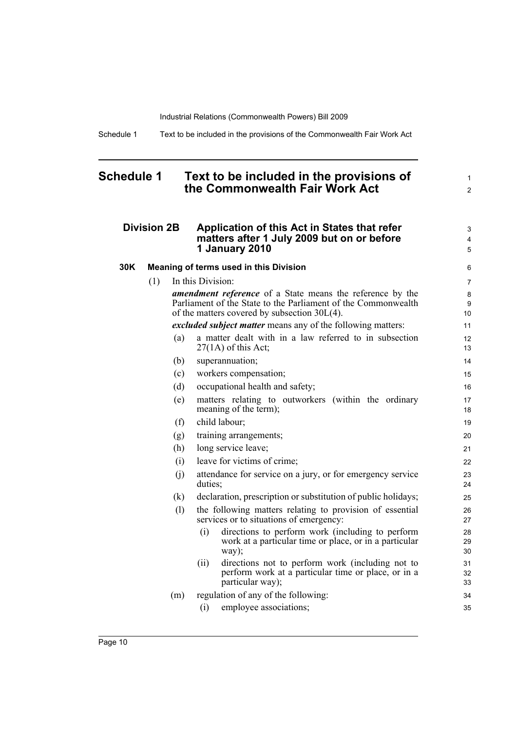Schedule 1 Text to be included in the provisions of the Commonwealth Fair Work Act

## <span id="page-15-0"></span>**Schedule 1 Text to be included in the provisions of the Commonwealth Fair Work Act**

## **Division 2B Application of this Act in States that refer matters after 1 July 2009 but on or before 1 January 2010**

| 30K | <b>Meaning of terms used in this Division</b> |  |
|-----|-----------------------------------------------|--|
|-----|-----------------------------------------------|--|

(1) In this Division: *amendment reference* of a State means the reference by the Parliament of the State to the Parliament of the Commonwealth of the matters covered by subsection 30L(4). *excluded subject matter* means any of the following matters: (a) a matter dealt with in a law referred to in subsection  $27(1A)$  of this Act;

1 2

3 4 5

- (b) superannuation; (c) workers compensation; (d) occupational health and safety; (e) matters relating to outworkers (within the ordinary meaning of the term); (f) child labour; (g) training arrangements; (h) long service leave; (i) leave for victims of crime; (j) attendance for service on a jury, or for emergency service duties; (k) declaration, prescription or substitution of public holidays; (l) the following matters relating to provision of essential services or to situations of emergency: (i) directions to perform work (including to perform
	- work at a particular time or place, or in a particular way); (ii) directions not to perform work (including not to perform work at a particular time or place, or in a
- particular way); (m) regulation of any of the following: (i) employee associations; 33 34 35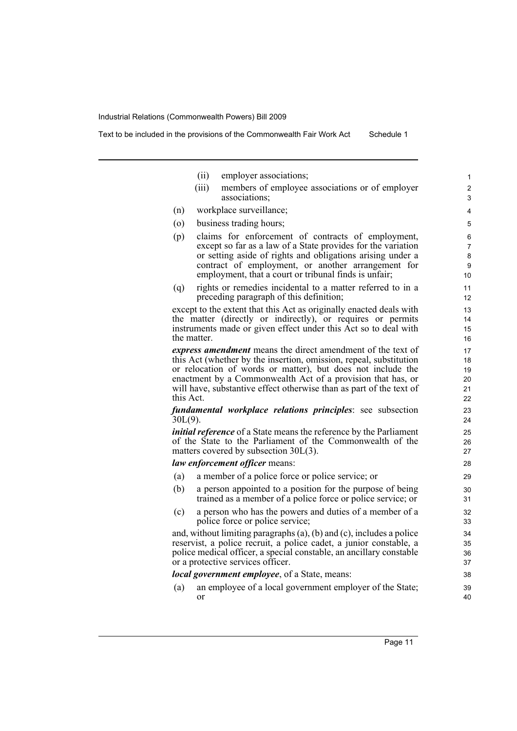Text to be included in the provisions of the Commonwealth Fair Work Act Schedule 1

- (ii) employer associations;
- (iii) members of employee associations or of employer associations;
- (n) workplace surveillance;
- (o) business trading hours;
- (p) claims for enforcement of contracts of employment, except so far as a law of a State provides for the variation or setting aside of rights and obligations arising under a contract of employment, or another arrangement for employment, that a court or tribunal finds is unfair;
- (q) rights or remedies incidental to a matter referred to in a preceding paragraph of this definition;

except to the extent that this Act as originally enacted deals with the matter (directly or indirectly), or requires or permits instruments made or given effect under this Act so to deal with the matter.

*express amendment* means the direct amendment of the text of this Act (whether by the insertion, omission, repeal, substitution or relocation of words or matter), but does not include the enactment by a Commonwealth Act of a provision that has, or will have, substantive effect otherwise than as part of the text of this Act.

*fundamental workplace relations principles*: see subsection 30L(9).

*initial reference* of a State means the reference by the Parliament of the State to the Parliament of the Commonwealth of the matters covered by subsection 30L(3).

*law enforcement officer* means:

- (a) a member of a police force or police service; or
- (b) a person appointed to a position for the purpose of being trained as a member of a police force or police service; or
- (c) a person who has the powers and duties of a member of a police force or police service;

and, without limiting paragraphs (a), (b) and (c), includes a police reservist, a police recruit, a police cadet, a junior constable, a police medical officer, a special constable, an ancillary constable or a protective services officer.

*local government employee*, of a State, means:

(a) an employee of a local government employer of the State; or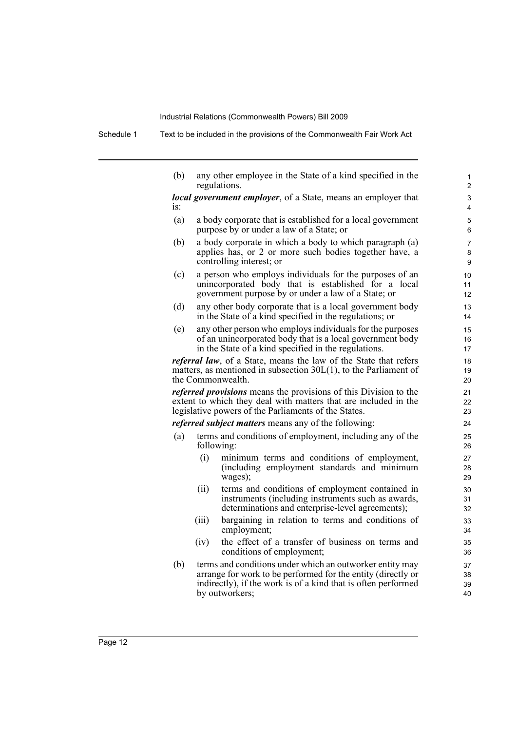Schedule 1 Text to be included in the provisions of the Commonwealth Fair Work Act

(b) any other employee in the State of a kind specified in the regulations.

*local government employer*, of a State, means an employer that is:

- (a) a body corporate that is established for a local government purpose by or under a law of a State; or
- (b) a body corporate in which a body to which paragraph (a) applies has, or 2 or more such bodies together have, a controlling interest; or
- (c) a person who employs individuals for the purposes of an unincorporated body that is established for a local government purpose by or under a law of a State; or
- (d) any other body corporate that is a local government body in the State of a kind specified in the regulations; or
- (e) any other person who employs individuals for the purposes of an unincorporated body that is a local government body in the State of a kind specified in the regulations.

*referral law*, of a State, means the law of the State that refers matters, as mentioned in subsection 30L(1), to the Parliament of the Commonwealth.

*referred provisions* means the provisions of this Division to the extent to which they deal with matters that are included in the legislative powers of the Parliaments of the States.

*referred subject matters* means any of the following:

- (a) terms and conditions of employment, including any of the following:
	- (i) minimum terms and conditions of employment, (including employment standards and minimum wages);
	- (ii) terms and conditions of employment contained in instruments (including instruments such as awards, determinations and enterprise-level agreements);
	- (iii) bargaining in relation to terms and conditions of employment;
	- (iv) the effect of a transfer of business on terms and conditions of employment;
- (b) terms and conditions under which an outworker entity may arrange for work to be performed for the entity (directly or indirectly), if the work is of a kind that is often performed by outworkers;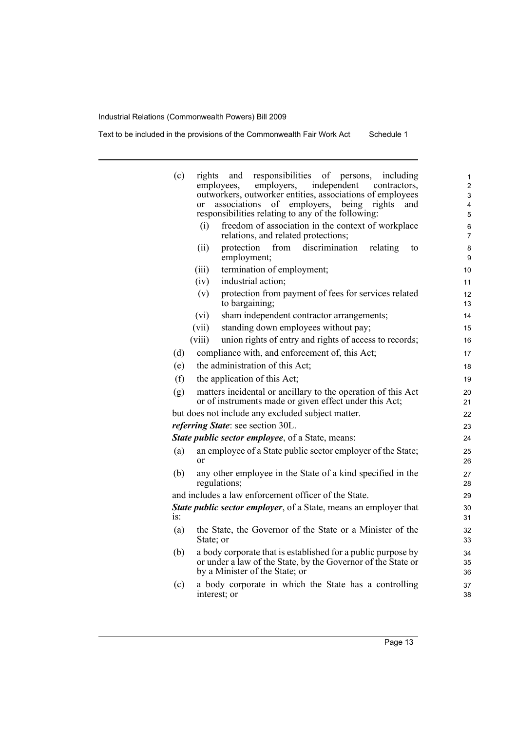Text to be included in the provisions of the Commonwealth Fair Work Act Schedule 1

| (c)    | responsibilities of<br>including<br>rights<br>and<br>persons.                                                                                                  | 1                       |
|--------|----------------------------------------------------------------------------------------------------------------------------------------------------------------|-------------------------|
|        | employers,<br>independent<br>employees.<br>contractors.<br>outworkers, outworker entities, associations of employees                                           | $\overline{\mathbf{c}}$ |
|        | of employers, being<br>associations<br>rights<br>and<br><sub>or</sub>                                                                                          | 3<br>4                  |
|        | responsibilities relating to any of the following:                                                                                                             | 5                       |
|        | freedom of association in the context of workplace<br>(i)                                                                                                      | 6                       |
|        | relations, and related protections;                                                                                                                            | $\overline{7}$          |
|        | discrimination<br>(ii)<br>protection<br>from<br>relating<br>to<br>employment;                                                                                  | 8<br>9                  |
|        | termination of employment;<br>(iii)                                                                                                                            | 10                      |
|        | industrial action;<br>(iv)                                                                                                                                     | 11                      |
|        | protection from payment of fees for services related<br>(v)<br>to bargaining;                                                                                  | 12<br>13                |
|        | sham independent contractor arrangements;<br>(vi)                                                                                                              | 14                      |
|        | standing down employees without pay;<br>(vii)                                                                                                                  | 15                      |
|        | (viii)<br>union rights of entry and rights of access to records;                                                                                               | 16                      |
| (d)    | compliance with, and enforcement of, this Act;                                                                                                                 | 17                      |
| (e)    | the administration of this Act;                                                                                                                                | 18                      |
| (f)    | the application of this Act;                                                                                                                                   | 19                      |
| (g)    | matters incidental or ancillary to the operation of this Act<br>or of instruments made or given effect under this Act;                                         | 20<br>21                |
|        | but does not include any excluded subject matter.                                                                                                              | 22                      |
|        | referring State: see section 30L.                                                                                                                              | 23                      |
|        | <b>State public sector employee</b> , of a State, means:                                                                                                       | 24                      |
| (a)    | an employee of a State public sector employer of the State;<br>or                                                                                              | 25<br>26                |
| (b)    | any other employee in the State of a kind specified in the<br>regulations;                                                                                     | 27<br>28                |
|        | and includes a law enforcement officer of the State.                                                                                                           | 29                      |
|        | State public sector employer, of a State, means an employer that                                                                                               | 30                      |
| $iS$ : |                                                                                                                                                                | 31                      |
| (a)    | the State, the Governor of the State or a Minister of the<br>State; or                                                                                         | 32<br>33                |
| (b)    | a body corporate that is established for a public purpose by<br>or under a law of the State, by the Governor of the State or<br>by a Minister of the State; or | 34<br>35<br>36          |
| (c)    | a body corporate in which the State has a controlling                                                                                                          | 37                      |
|        | interest; or                                                                                                                                                   | 38                      |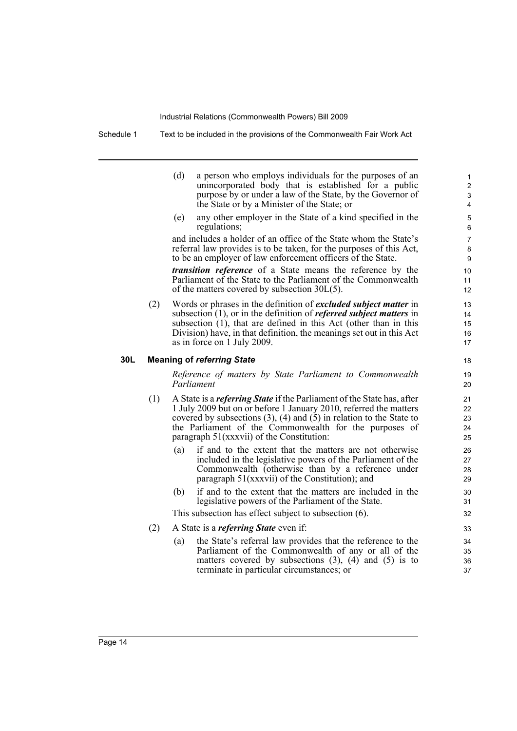Schedule 1 Text to be included in the provisions of the Commonwealth Fair Work Act

(d) a person who employs individuals for the purposes of an unincorporated body that is established for a public purpose by or under a law of the State, by the Governor of the State or by a Minister of the State; or

(e) any other employer in the State of a kind specified in the regulations;

and includes a holder of an office of the State whom the State's referral law provides is to be taken, for the purposes of this Act, to be an employer of law enforcement officers of the State.

*transition reference* of a State means the reference by the Parliament of the State to the Parliament of the Commonwealth of the matters covered by subsection 30L(5).

(2) Words or phrases in the definition of *excluded subject matter* in subsection (1), or in the definition of *referred subject matters* in subsection (1), that are defined in this Act (other than in this Division) have, in that definition, the meanings set out in this Act as in force on 1 July 2009.

### **30L Meaning of** *referring State*

*Reference of matters by State Parliament to Commonwealth Parliament*

- (1) A State is a *referring State* if the Parliament of the State has, after 1 July 2009 but on or before 1 January 2010, referred the matters covered by subsections  $(3)$ ,  $(4)$  and  $(5)$  in relation to the State to the Parliament of the Commonwealth for the purposes of paragraph 51(xxxvii) of the Constitution:
	- (a) if and to the extent that the matters are not otherwise included in the legislative powers of the Parliament of the Commonwealth (otherwise than by a reference under paragraph 51(xxxvii) of the Constitution); and
	- (b) if and to the extent that the matters are included in the legislative powers of the Parliament of the State.

This subsection has effect subject to subsection (6).

- (2) A State is a *referring State* even if:
	- (a) the State's referral law provides that the reference to the Parliament of the Commonwealth of any or all of the matters covered by subsections  $(3)$ ,  $(4)$  and  $(5)$  is to terminate in particular circumstances; or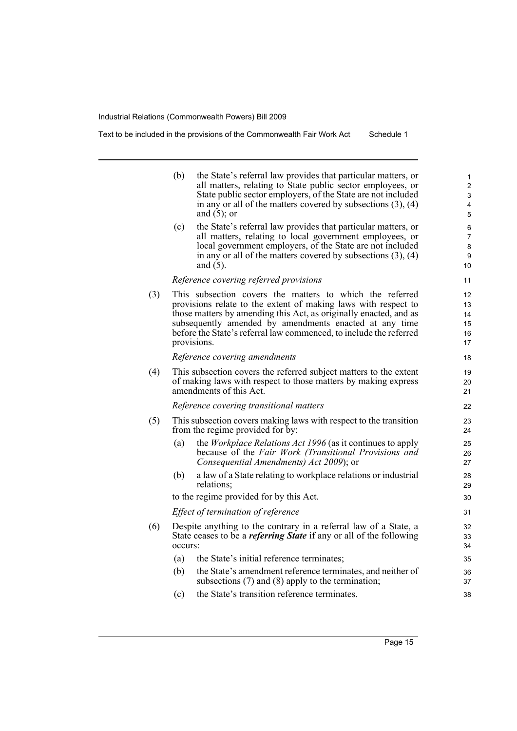|     | (b)     | the State's referral law provides that particular matters, or<br>all matters, relating to State public sector employees, or<br>State public sector employers, of the State are not included<br>in any or all of the matters covered by subsections $(3)$ , $(4)$<br>and $(5)$ ; or                                                             | 1<br>$\overline{2}$<br>3<br>4<br>5 |
|-----|---------|------------------------------------------------------------------------------------------------------------------------------------------------------------------------------------------------------------------------------------------------------------------------------------------------------------------------------------------------|------------------------------------|
|     | (c)     | the State's referral law provides that particular matters, or<br>all matters, relating to local government employees, or<br>local government employers, of the State are not included<br>in any or all of the matters covered by subsections $(3)$ , $(4)$<br>and $(5)$ .                                                                      | 6<br>7<br>8<br>9<br>10             |
|     |         | Reference covering referred provisions                                                                                                                                                                                                                                                                                                         | 11                                 |
| (3) |         | This subsection covers the matters to which the referred<br>provisions relate to the extent of making laws with respect to<br>those matters by amending this Act, as originally enacted, and as<br>subsequently amended by amendments enacted at any time<br>before the State's referral law commenced, to include the referred<br>provisions. | 12<br>13<br>14<br>15<br>16<br>17   |
|     |         | Reference covering amendments                                                                                                                                                                                                                                                                                                                  | 18                                 |
| (4) |         | This subsection covers the referred subject matters to the extent<br>of making laws with respect to those matters by making express<br>amendments of this Act.                                                                                                                                                                                 | 19<br>20<br>21                     |
|     |         | Reference covering transitional matters                                                                                                                                                                                                                                                                                                        | 22                                 |
| (5) |         | This subsection covers making laws with respect to the transition<br>from the regime provided for by:                                                                                                                                                                                                                                          | 23<br>24                           |
|     | (a)     | the <i>Workplace Relations Act 1996</i> (as it continues to apply<br>because of the Fair Work (Transitional Provisions and<br>Consequential Amendments) Act 2009); or                                                                                                                                                                          | 25<br>26<br>27                     |
|     | (b)     | a law of a State relating to workplace relations or industrial<br>relations;                                                                                                                                                                                                                                                                   | 28<br>29                           |
|     |         | to the regime provided for by this Act.                                                                                                                                                                                                                                                                                                        | 30                                 |
|     |         | Effect of termination of reference                                                                                                                                                                                                                                                                                                             | 31                                 |
| (6) | occurs: | Despite anything to the contrary in a referral law of a State, a<br>State ceases to be a <i>referring State</i> if any or all of the following                                                                                                                                                                                                 | 32<br>33<br>34                     |
|     | (a)     | the State's initial reference terminates;                                                                                                                                                                                                                                                                                                      | 35                                 |
|     | (b)     | the State's amendment reference terminates, and neither of<br>subsections $(7)$ and $(8)$ apply to the termination;                                                                                                                                                                                                                            | 36<br>37                           |
|     | (c)     | the State's transition reference terminates.                                                                                                                                                                                                                                                                                                   | 38                                 |
|     |         |                                                                                                                                                                                                                                                                                                                                                |                                    |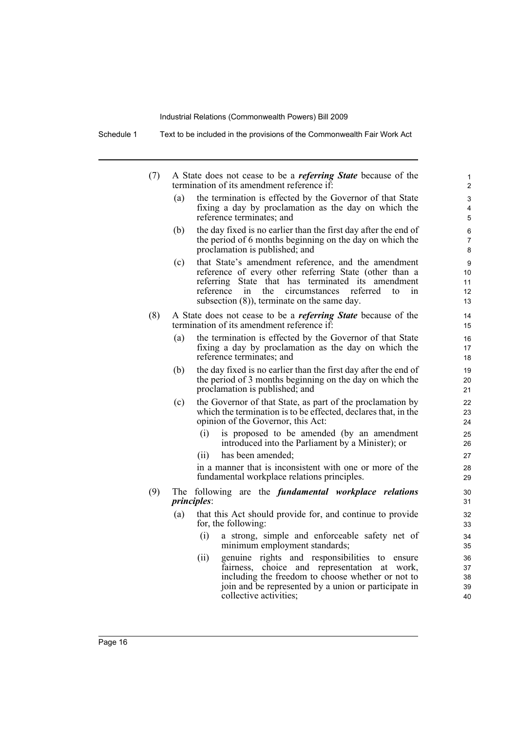Schedule 1 Text to be included in the provisions of the Commonwealth Fair Work Act

- (7) A State does not cease to be a *referring State* because of the termination of its amendment reference if:
	- (a) the termination is effected by the Governor of that State fixing a day by proclamation as the day on which the reference terminates; and

- (b) the day fixed is no earlier than the first day after the end of the period of 6 months beginning on the day on which the proclamation is published; and
- (c) that State's amendment reference, and the amendment reference of every other referring State (other than a referring State that has terminated its amendment reference in the circumstances referred to in subsection (8)), terminate on the same day.
- (8) A State does not cease to be a *referring State* because of the termination of its amendment reference if:
	- (a) the termination is effected by the Governor of that State fixing a day by proclamation as the day on which the reference terminates; and
	- (b) the day fixed is no earlier than the first day after the end of the period of 3 months beginning on the day on which the proclamation is published; and
	- (c) the Governor of that State, as part of the proclamation by which the termination is to be effected, declares that, in the opinion of the Governor, this Act:
		- (i) is proposed to be amended (by an amendment introduced into the Parliament by a Minister); or
		- (ii) has been amended;

in a manner that is inconsistent with one or more of the fundamental workplace relations principles.

- (9) The following are the *fundamental workplace relations principles*:
	- (a) that this Act should provide for, and continue to provide for, the following:
		- (i) a strong, simple and enforceable safety net of minimum employment standards;
		- (ii) genuine rights and responsibilities to ensure fairness, choice and representation at work, including the freedom to choose whether or not to join and be represented by a union or participate in collective activities;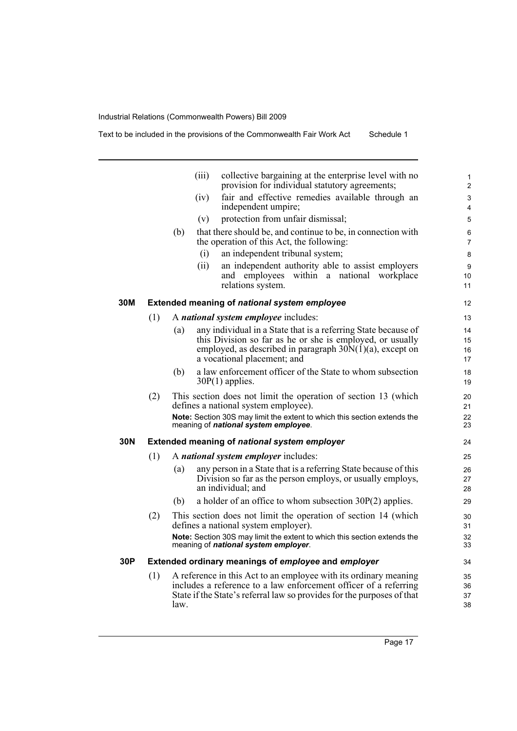|     |     |                                              | (iii) | collective bargaining at the enterprise level with no<br>provision for individual statutory agreements;                                                                                                                         | 1<br>$\overline{2}$  |  |  |
|-----|-----|----------------------------------------------|-------|---------------------------------------------------------------------------------------------------------------------------------------------------------------------------------------------------------------------------------|----------------------|--|--|
|     |     |                                              | (iv)  | fair and effective remedies available through an<br>independent umpire;                                                                                                                                                         | 3<br>4               |  |  |
|     |     |                                              | (v)   | protection from unfair dismissal;                                                                                                                                                                                               | 5                    |  |  |
|     |     | (b)                                          |       | that there should be, and continue to be, in connection with<br>the operation of this Act, the following:                                                                                                                       | 6<br>$\overline{7}$  |  |  |
|     |     |                                              | (i)   | an independent tribunal system;                                                                                                                                                                                                 | 8                    |  |  |
|     |     |                                              | (ii)  | an independent authority able to assist employers<br>and employees within a national workplace<br>relations system.                                                                                                             | 9<br>10<br>11        |  |  |
| 30M |     |                                              |       | Extended meaning of national system employee                                                                                                                                                                                    | 12                   |  |  |
|     | (1) |                                              |       | A national system employee includes:                                                                                                                                                                                            | 13                   |  |  |
|     |     | (a)                                          |       | any individual in a State that is a referring State because of<br>this Division so far as he or she is employed, or usually<br>employed, as described in paragraph $30\bar{N}(1)(a)$ , except on<br>a vocational placement; and | 14<br>15<br>16<br>17 |  |  |
|     |     | (b)                                          |       | a law enforcement officer of the State to whom subsection<br>$30P(1)$ applies.                                                                                                                                                  | 18<br>19             |  |  |
|     | (2) |                                              |       | This section does not limit the operation of section 13 (which<br>defines a national system employee).<br>Note: Section 30S may limit the extent to which this section extends the                                              | 20<br>21<br>22       |  |  |
|     |     |                                              |       | meaning of national system employee.                                                                                                                                                                                            | 23                   |  |  |
| 30N |     | Extended meaning of national system employer |       |                                                                                                                                                                                                                                 |                      |  |  |
|     | (1) |                                              |       | A national system employer includes:                                                                                                                                                                                            | 25                   |  |  |
|     |     | (a)                                          |       | any person in a State that is a referring State because of this<br>Division so far as the person employs, or usually employs,<br>an individual; and                                                                             | 26<br>27<br>28       |  |  |
|     |     | (b)                                          |       | a holder of an office to whom subsection $30P(2)$ applies.                                                                                                                                                                      | 29                   |  |  |
|     | (2) |                                              |       | This section does not limit the operation of section 14 (which<br>defines a national system employer).                                                                                                                          | 30<br>31             |  |  |
|     |     |                                              |       | Note: Section 30S may limit the extent to which this section extends the<br>meaning of national system employer.                                                                                                                | 32<br>33             |  |  |
| 30P |     |                                              |       | Extended ordinary meanings of employee and employer                                                                                                                                                                             | 34                   |  |  |
|     | (1) | law.                                         |       | A reference in this Act to an employee with its ordinary meaning<br>includes a reference to a law enforcement officer of a referring<br>State if the State's referral law so provides for the purposes of that                  | 35<br>36<br>37<br>38 |  |  |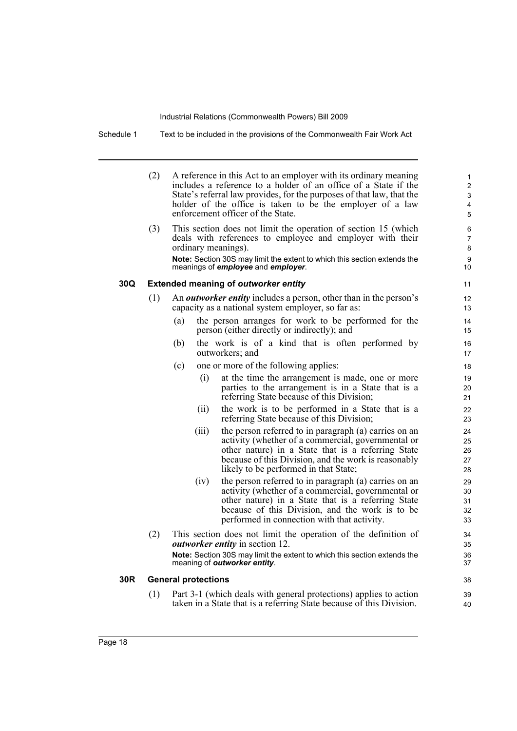Schedule 1 Text to be included in the provisions of the Commonwealth Fair Work Act

(2) A reference in this Act to an employer with its ordinary meaning includes a reference to a holder of an office of a State if the State's referral law provides, for the purposes of that law, that the holder of the office is taken to be the employer of a law enforcement officer of the State. (3) This section does not limit the operation of section 15 (which deals with references to employee and employer with their ordinary meanings). **Note:** Section 30S may limit the extent to which this section extends the meanings of *employee* and *employer*. **30Q Extended meaning of** *outworker entity* (1) An *outworker entity* includes a person, other than in the person's capacity as a national system employer, so far as: (a) the person arranges for work to be performed for the person (either directly or indirectly); and (b) the work is of a kind that is often performed by outworkers; and (c) one or more of the following applies: (i) at the time the arrangement is made, one or more parties to the arrangement is in a State that is a referring State because of this Division; (ii) the work is to be performed in a State that is a referring State because of this Division; (iii) the person referred to in paragraph (a) carries on an activity (whether of a commercial, governmental or other nature) in a State that is a referring State because of this Division, and the work is reasonably likely to be performed in that State; (iv) the person referred to in paragraph (a) carries on an activity (whether of a commercial, governmental or other nature) in a State that is a referring State because of this Division, and the work is to be performed in connection with that activity. (2) This section does not limit the operation of the definition of *outworker entity* in section 12. **Note:** Section 30S may limit the extent to which this section extends the meaning of *outworker entity*. **30R General protections** (1) Part 3-1 (which deals with general protections) applies to action taken in a State that is a referring State because of this Division. 10 11 12 13 14 15 16 17 18 19 20 21 22 23 24 25 26 27 28 29 30 31 32 33 34 35 36 37 38 39 40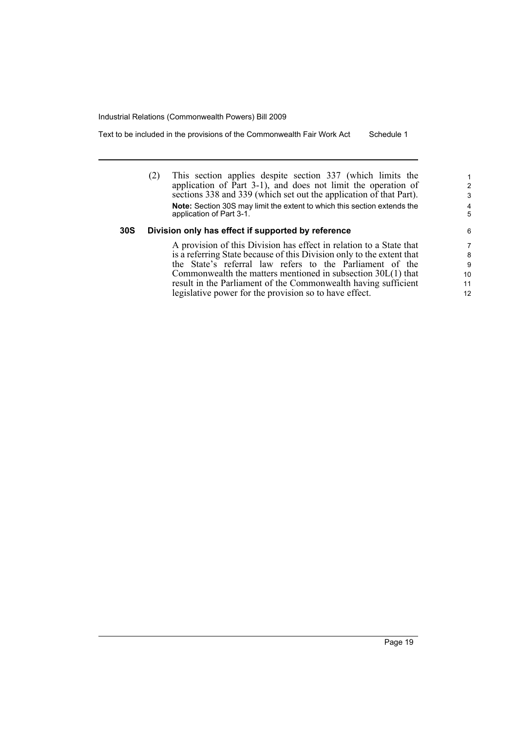Text to be included in the provisions of the Commonwealth Fair Work Act Schedule 1

(2) This section applies despite section 337 (which limits the application of  $\hat{P}$ art 3-1), and does not limit the operation of sections 338 and 339 (which set out the application of that Part). **Note:** Section 30S may limit the extent to which this section extends the application of Part 3-1.

### **30S Division only has effect if supported by reference**

A provision of this Division has effect in relation to a State that is a referring State because of this Division only to the extent that the State's referral law refers to the Parliament of the Commonwealth the matters mentioned in subsection 30L(1) that result in the Parliament of the Commonwealth having sufficient legislative power for the provision so to have effect.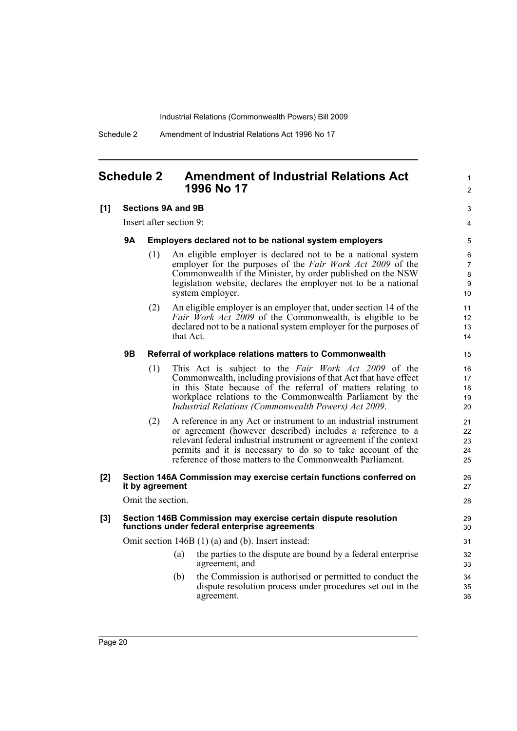Schedule 2 Amendment of Industrial Relations Act 1996 No 17

## <span id="page-25-0"></span>**Schedule 2 Amendment of Industrial Relations Act 1996 No 17**

### **[1] Sections 9A and 9B**

Insert after section 9:

### **9A Employers declared not to be national system employers**

(1) An eligible employer is declared not to be a national system employer for the purposes of the *Fair Work Act 2009* of the Commonwealth if the Minister, by order published on the NSW legislation website, declares the employer not to be a national system employer.

1  $\mathfrak{p}$ 

3 4

26 27 28

(2) An eligible employer is an employer that, under section 14 of the *Fair Work Act 2009* of the Commonwealth, is eligible to be declared not to be a national system employer for the purposes of that Act.

### **9B Referral of workplace relations matters to Commonwealth**

- (1) This Act is subject to the *Fair Work Act 2009* of the Commonwealth, including provisions of that Act that have effect in this State because of the referral of matters relating to workplace relations to the Commonwealth Parliament by the *Industrial Relations (Commonwealth Powers) Act 2009*.
- (2) A reference in any Act or instrument to an industrial instrument or agreement (however described) includes a reference to a relevant federal industrial instrument or agreement if the context permits and it is necessary to do so to take account of the reference of those matters to the Commonwealth Parliament.

### **[2] Section 146A Commission may exercise certain functions conferred on it by agreement**

Omit the section.

### **[3] Section 146B Commission may exercise certain dispute resolution functions under federal enterprise agreements**

Omit section 146B (1) (a) and (b). Insert instead:

- (a) the parties to the dispute are bound by a federal enterprise agreement, and
- (b) the Commission is authorised or permitted to conduct the dispute resolution process under procedures set out in the agreement.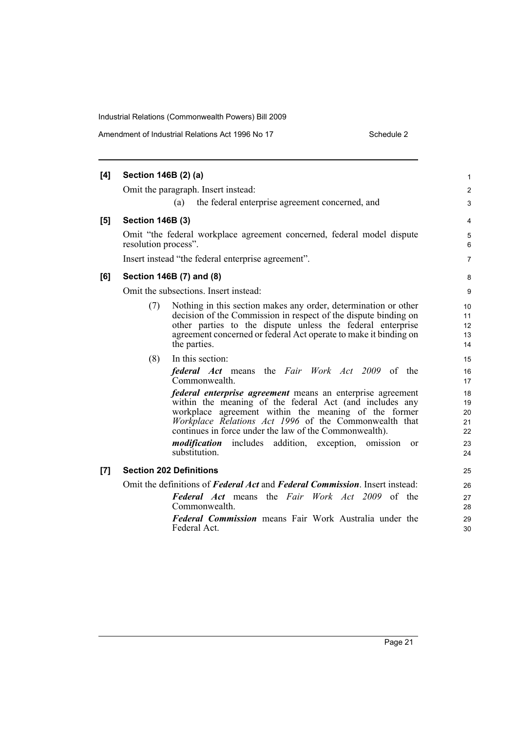| [4] | Section 146B (2) (a)                                                                                                                                                                                                                                                                                                                                                                                |  |
|-----|-----------------------------------------------------------------------------------------------------------------------------------------------------------------------------------------------------------------------------------------------------------------------------------------------------------------------------------------------------------------------------------------------------|--|
|     | Omit the paragraph. Insert instead:                                                                                                                                                                                                                                                                                                                                                                 |  |
|     | the federal enterprise agreement concerned, and<br>(a)                                                                                                                                                                                                                                                                                                                                              |  |
| [5] | <b>Section 146B (3)</b>                                                                                                                                                                                                                                                                                                                                                                             |  |
|     | Omit "the federal workplace agreement concerned, federal model dispute<br>resolution process".                                                                                                                                                                                                                                                                                                      |  |
|     | Insert instead "the federal enterprise agreement".                                                                                                                                                                                                                                                                                                                                                  |  |
| [6] | Section 146B (7) and (8)                                                                                                                                                                                                                                                                                                                                                                            |  |
|     | Omit the subsections. Insert instead:                                                                                                                                                                                                                                                                                                                                                               |  |
|     | Nothing in this section makes any order, determination or other<br>(7)<br>decision of the Commission in respect of the dispute binding on<br>other parties to the dispute unless the federal enterprise<br>agreement concerned or federal Act operate to make it binding on<br>the parties.                                                                                                         |  |
|     | In this section:<br>(8)<br>federal Act means the Fair Work Act 2009 of the<br>Commonwealth.                                                                                                                                                                                                                                                                                                         |  |
|     | <i>federal enterprise agreement</i> means an enterprise agreement<br>within the meaning of the federal Act (and includes any<br>workplace agreement within the meaning of the former<br>Workplace Relations Act 1996 of the Commonwealth that<br>continues in force under the law of the Commonwealth).<br>modification<br>includes addition, exception, omission<br><sub>or</sub><br>substitution. |  |
| [7] | <b>Section 202 Definitions</b>                                                                                                                                                                                                                                                                                                                                                                      |  |
|     | Omit the definitions of Federal Act and Federal Commission. Insert instead:<br><b>Federal Act</b> means the Fair Work Act 2009 of the<br>Commonwealth.<br><b>Federal Commission</b> means Fair Work Australia under the<br>Federal Act.                                                                                                                                                             |  |